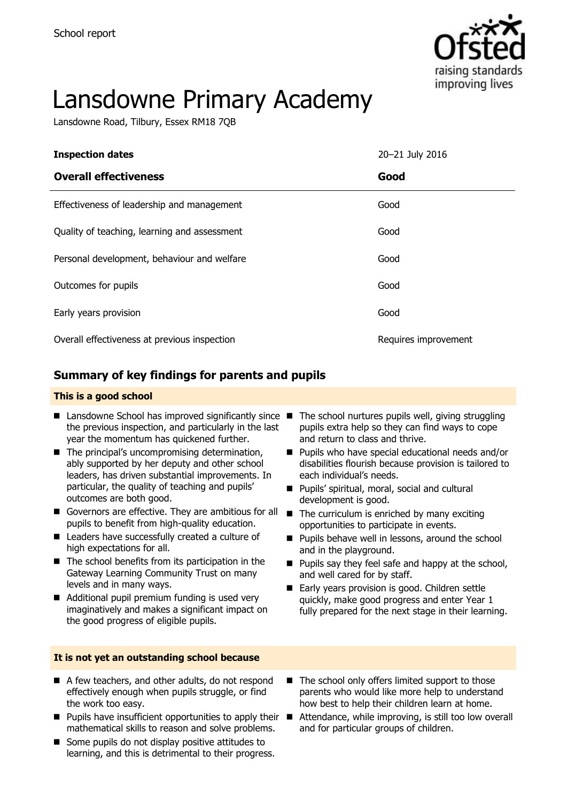

# Lansdowne Primary Academy

Lansdowne Road, Tilbury, Essex RM18 7QB

| <b>Inspection dates</b>                      | 20-21 July 2016      |
|----------------------------------------------|----------------------|
| <b>Overall effectiveness</b>                 | Good                 |
| Effectiveness of leadership and management   | Good                 |
| Quality of teaching, learning and assessment | Good                 |
| Personal development, behaviour and welfare  | Good                 |
| Outcomes for pupils                          | Good                 |
| Early years provision                        | Good                 |
| Overall effectiveness at previous inspection | Requires improvement |

### **Summary of key findings for parents and pupils**

#### **This is a good school**

- Lansdowne School has improved significantly since the previous inspection, and particularly in the last year the momentum has quickened further.
- The principal's uncompromising determination, ably supported by her deputy and other school leaders, has driven substantial improvements. In particular, the quality of teaching and pupils' outcomes are both good.
- Governors are effective. They are ambitious for all pupils to benefit from high-quality education.
- Leaders have successfully created a culture of high expectations for all.
- $\blacksquare$  The school benefits from its participation in the Gateway Learning Community Trust on many levels and in many ways.
- Additional pupil premium funding is used very imaginatively and makes a significant impact on the good progress of eligible pupils.

#### **It is not yet an outstanding school because**

- A few teachers, and other adults, do not respond effectively enough when pupils struggle, or find the work too easy.
- **Pupils have insufficient opportunities to apply their**  $\blacksquare$ mathematical skills to reason and solve problems.
- Some pupils do not display positive attitudes to learning, and this is detrimental to their progress.
- The school nurtures pupils well, giving struggling pupils extra help so they can find ways to cope and return to class and thrive.
- **Pupils who have special educational needs and/or** disabilities flourish because provision is tailored to each individual's needs.
- Pupils' spiritual, moral, social and cultural development is good.
- $\blacksquare$  The curriculum is enriched by many exciting opportunities to participate in events.
- **Pupils behave well in lessons, around the school** and in the playground.
- $\blacksquare$  Pupils say they feel safe and happy at the school, and well cared for by staff.
- Early years provision is good. Children settle quickly, make good progress and enter Year 1 fully prepared for the next stage in their learning.
- $\blacksquare$  The school only offers limited support to those parents who would like more help to understand how best to help their children learn at home.
- Attendance, while improving, is still too low overall and for particular groups of children.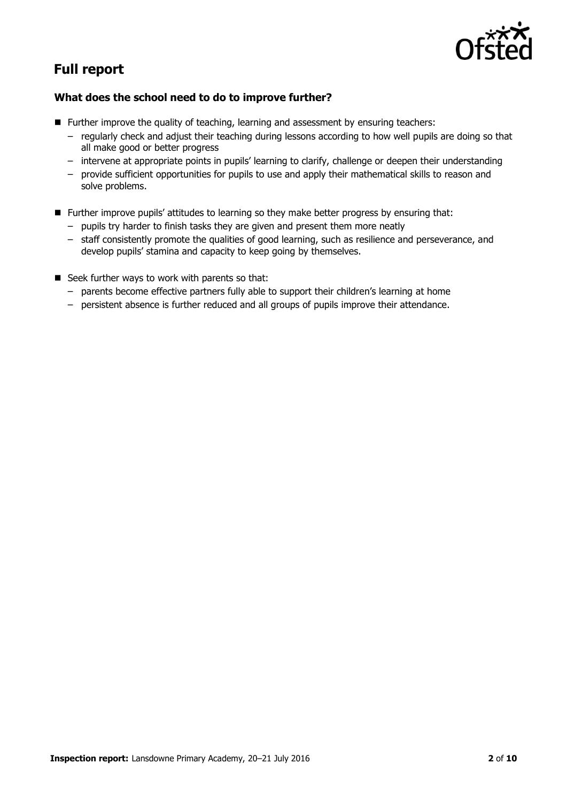

# **Full report**

#### **What does the school need to do to improve further?**

- **Further improve the quality of teaching, learning and assessment by ensuring teachers:** 
	- regularly check and adjust their teaching during lessons according to how well pupils are doing so that all make good or better progress
	- intervene at appropriate points in pupils' learning to clarify, challenge or deepen their understanding
	- provide sufficient opportunities for pupils to use and apply their mathematical skills to reason and solve problems.
- **Further improve pupils' attitudes to learning so they make better progress by ensuring that:** 
	- pupils try harder to finish tasks they are given and present them more neatly
	- staff consistently promote the qualities of good learning, such as resilience and perseverance, and develop pupils' stamina and capacity to keep going by themselves.
- Seek further ways to work with parents so that:
	- parents become effective partners fully able to support their children's learning at home
	- persistent absence is further reduced and all groups of pupils improve their attendance.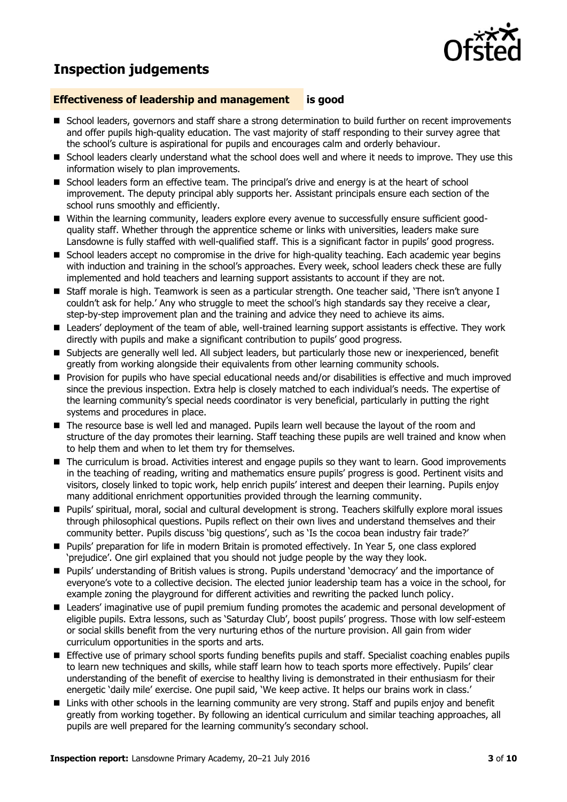# **Inspection judgements**



#### **Effectiveness of leadership and management is good**

- **School leaders, governors and staff share a strong determination to build further on recent improvements** and offer pupils high-quality education. The vast majority of staff responding to their survey agree that the school's culture is aspirational for pupils and encourages calm and orderly behaviour.
- **School leaders clearly understand what the school does well and where it needs to improve. They use this** information wisely to plan improvements.
- School leaders form an effective team. The principal's drive and energy is at the heart of school improvement. The deputy principal ably supports her. Assistant principals ensure each section of the school runs smoothly and efficiently.
- Within the learning community, leaders explore every avenue to successfully ensure sufficient goodquality staff. Whether through the apprentice scheme or links with universities, leaders make sure Lansdowne is fully staffed with well-qualified staff. This is a significant factor in pupils' good progress.
- School leaders accept no compromise in the drive for high-quality teaching. Each academic year begins with induction and training in the school's approaches. Every week, school leaders check these are fully implemented and hold teachers and learning support assistants to account if they are not.
- Staff morale is high. Teamwork is seen as a particular strength. One teacher said, 'There isn't anyone I couldn't ask for help.' Any who struggle to meet the school's high standards say they receive a clear, step-by-step improvement plan and the training and advice they need to achieve its aims.
- Leaders' deployment of the team of able, well-trained learning support assistants is effective. They work directly with pupils and make a significant contribution to pupils' good progress.
- Subjects are generally well led. All subject leaders, but particularly those new or inexperienced, benefit greatly from working alongside their equivalents from other learning community schools.
- **Provision for pupils who have special educational needs and/or disabilities is effective and much improved** since the previous inspection. Extra help is closely matched to each individual's needs. The expertise of the learning community's special needs coordinator is very beneficial, particularly in putting the right systems and procedures in place.
- The resource base is well led and managed. Pupils learn well because the layout of the room and structure of the day promotes their learning. Staff teaching these pupils are well trained and know when to help them and when to let them try for themselves.
- The curriculum is broad. Activities interest and engage pupils so they want to learn. Good improvements in the teaching of reading, writing and mathematics ensure pupils' progress is good. Pertinent visits and visitors, closely linked to topic work, help enrich pupils' interest and deepen their learning. Pupils enjoy many additional enrichment opportunities provided through the learning community.
- Pupils' spiritual, moral, social and cultural development is strong. Teachers skilfully explore moral issues through philosophical questions. Pupils reflect on their own lives and understand themselves and their community better. Pupils discuss 'big questions', such as 'Is the cocoa bean industry fair trade?'
- **Pupils' preparation for life in modern Britain is promoted effectively. In Year 5, one class explored** 'prejudice'. One girl explained that you should not judge people by the way they look.
- Pupils' understanding of British values is strong. Pupils understand 'democracy' and the importance of everyone's vote to a collective decision. The elected junior leadership team has a voice in the school, for example zoning the playground for different activities and rewriting the packed lunch policy.
- Leaders' imaginative use of pupil premium funding promotes the academic and personal development of eligible pupils. Extra lessons, such as 'Saturday Club', boost pupils' progress. Those with low self-esteem or social skills benefit from the very nurturing ethos of the nurture provision. All gain from wider curriculum opportunities in the sports and arts.
- Effective use of primary school sports funding benefits pupils and staff. Specialist coaching enables pupils to learn new techniques and skills, while staff learn how to teach sports more effectively. Pupils' clear understanding of the benefit of exercise to healthy living is demonstrated in their enthusiasm for their energetic 'daily mile' exercise. One pupil said, 'We keep active. It helps our brains work in class.'
- **E** Links with other schools in the learning community are very strong. Staff and pupils enjoy and benefit greatly from working together. By following an identical curriculum and similar teaching approaches, all pupils are well prepared for the learning community's secondary school.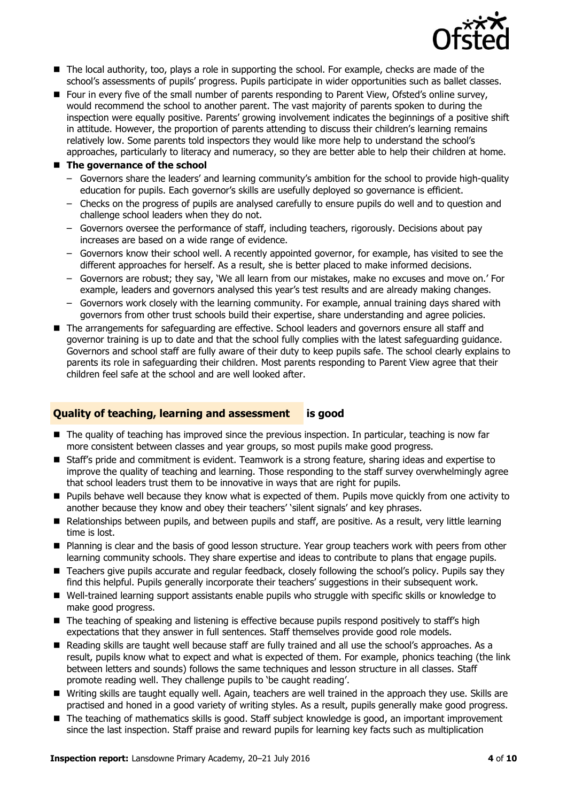

- The local authority, too, plays a role in supporting the school. For example, checks are made of the school's assessments of pupils' progress. Pupils participate in wider opportunities such as ballet classes.
- **F** Four in every five of the small number of parents responding to Parent View, Ofsted's online survey, would recommend the school to another parent. The vast majority of parents spoken to during the inspection were equally positive. Parents' growing involvement indicates the beginnings of a positive shift in attitude. However, the proportion of parents attending to discuss their children's learning remains relatively low. Some parents told inspectors they would like more help to understand the school's approaches, particularly to literacy and numeracy, so they are better able to help their children at home.

#### **The governance of the school**

- Governors share the leaders' and learning community's ambition for the school to provide high-quality education for pupils. Each governor's skills are usefully deployed so governance is efficient.
- Checks on the progress of pupils are analysed carefully to ensure pupils do well and to question and challenge school leaders when they do not.
- Governors oversee the performance of staff, including teachers, rigorously. Decisions about pay increases are based on a wide range of evidence.
- Governors know their school well. A recently appointed governor, for example, has visited to see the different approaches for herself. As a result, she is better placed to make informed decisions.
- Governors are robust; they say, 'We all learn from our mistakes, make no excuses and move on.' For example, leaders and governors analysed this year's test results and are already making changes.
- Governors work closely with the learning community. For example, annual training days shared with governors from other trust schools build their expertise, share understanding and agree policies.
- The arrangements for safeguarding are effective. School leaders and governors ensure all staff and governor training is up to date and that the school fully complies with the latest safeguarding guidance. Governors and school staff are fully aware of their duty to keep pupils safe. The school clearly explains to parents its role in safeguarding their children. Most parents responding to Parent View agree that their children feel safe at the school and are well looked after.

#### **Quality of teaching, learning and assessment is good**

- The quality of teaching has improved since the previous inspection. In particular, teaching is now far more consistent between classes and year groups, so most pupils make good progress.
- Staff's pride and commitment is evident. Teamwork is a strong feature, sharing ideas and expertise to improve the quality of teaching and learning. Those responding to the staff survey overwhelmingly agree that school leaders trust them to be innovative in ways that are right for pupils.
- **Pupils behave well because they know what is expected of them. Pupils move quickly from one activity to Pupils** another because they know and obey their teachers' 'silent signals' and key phrases.
- **Relationships between pupils, and between pupils and staff, are positive. As a result, very little learning** time is lost.
- **Planning is clear and the basis of good lesson structure. Year group teachers work with peers from other** learning community schools. They share expertise and ideas to contribute to plans that engage pupils.
- Teachers give pupils accurate and regular feedback, closely following the school's policy. Pupils say they find this helpful. Pupils generally incorporate their teachers' suggestions in their subsequent work.
- Well-trained learning support assistants enable pupils who struggle with specific skills or knowledge to make good progress.
- $\blacksquare$  The teaching of speaking and listening is effective because pupils respond positively to staff's high expectations that they answer in full sentences. Staff themselves provide good role models.
- Reading skills are taught well because staff are fully trained and all use the school's approaches. As a result, pupils know what to expect and what is expected of them. For example, phonics teaching (the link between letters and sounds) follows the same techniques and lesson structure in all classes. Staff promote reading well. They challenge pupils to 'be caught reading'.
- Writing skills are taught equally well. Again, teachers are well trained in the approach they use. Skills are practised and honed in a good variety of writing styles. As a result, pupils generally make good progress.
- The teaching of mathematics skills is good. Staff subject knowledge is good, an important improvement since the last inspection. Staff praise and reward pupils for learning key facts such as multiplication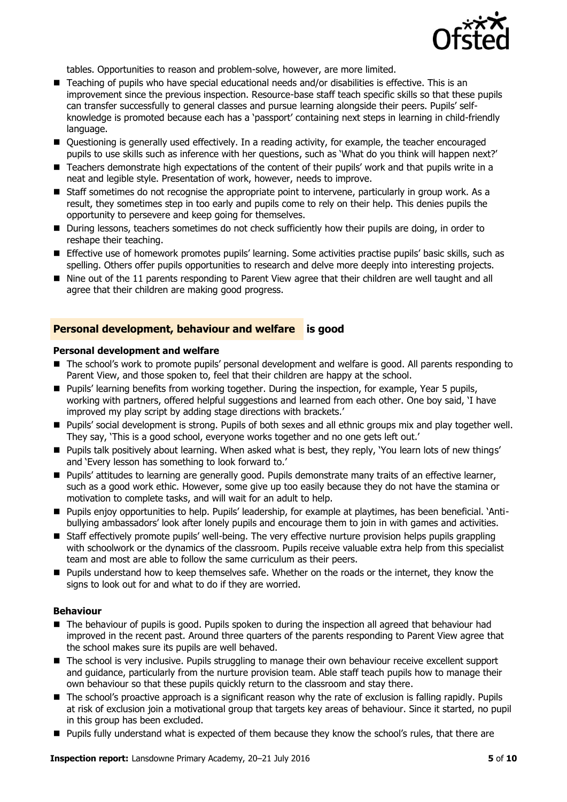

tables. Opportunities to reason and problem-solve, however, are more limited.

- $\blacksquare$  Teaching of pupils who have special educational needs and/or disabilities is effective. This is an improvement since the previous inspection. Resource-base staff teach specific skills so that these pupils can transfer successfully to general classes and pursue learning alongside their peers. Pupils' selfknowledge is promoted because each has a 'passport' containing next steps in learning in child-friendly language.
- **Duestioning is generally used effectively. In a reading activity, for example, the teacher encouraged** pupils to use skills such as inference with her questions, such as 'What do you think will happen next?'
- Teachers demonstrate high expectations of the content of their pupils' work and that pupils write in a neat and legible style. Presentation of work, however, needs to improve.
- Staff sometimes do not recognise the appropriate point to intervene, particularly in group work. As a result, they sometimes step in too early and pupils come to rely on their help. This denies pupils the opportunity to persevere and keep going for themselves.
- During lessons, teachers sometimes do not check sufficiently how their pupils are doing, in order to reshape their teaching.
- Effective use of homework promotes pupils' learning. Some activities practise pupils' basic skills, such as spelling. Others offer pupils opportunities to research and delve more deeply into interesting projects.
- Nine out of the 11 parents responding to Parent View agree that their children are well taught and all agree that their children are making good progress.

#### **Personal development, behaviour and welfare is good**

#### **Personal development and welfare**

- The school's work to promote pupils' personal development and welfare is good. All parents responding to Parent View, and those spoken to, feel that their children are happy at the school.
- **Pupils' learning benefits from working together. During the inspection, for example, Year 5 pupils,** working with partners, offered helpful suggestions and learned from each other. One boy said, 'I have improved my play script by adding stage directions with brackets.'
- Pupils' social development is strong. Pupils of both sexes and all ethnic groups mix and play together well. They say, 'This is a good school, everyone works together and no one gets left out.'
- Pupils talk positively about learning. When asked what is best, they reply, 'You learn lots of new things' and 'Every lesson has something to look forward to.'
- **Pupils' attitudes to learning are generally good. Pupils demonstrate many traits of an effective learner,** such as a good work ethic. However, some give up too easily because they do not have the stamina or motivation to complete tasks, and will wait for an adult to help.
- Pupils enjoy opportunities to help. Pupils' leadership, for example at playtimes, has been beneficial. 'Antibullying ambassadors' look after lonely pupils and encourage them to join in with games and activities.
- Staff effectively promote pupils' well-being. The very effective nurture provision helps pupils grappling with schoolwork or the dynamics of the classroom. Pupils receive valuable extra help from this specialist team and most are able to follow the same curriculum as their peers.
- **Pupils understand how to keep themselves safe. Whether on the roads or the internet, they know the** signs to look out for and what to do if they are worried.

#### **Behaviour**

- The behaviour of pupils is good. Pupils spoken to during the inspection all agreed that behaviour had improved in the recent past. Around three quarters of the parents responding to Parent View agree that the school makes sure its pupils are well behaved.
- The school is very inclusive. Pupils struggling to manage their own behaviour receive excellent support and guidance, particularly from the nurture provision team. Able staff teach pupils how to manage their own behaviour so that these pupils quickly return to the classroom and stay there.
- The school's proactive approach is a significant reason why the rate of exclusion is falling rapidly. Pupils at risk of exclusion join a motivational group that targets key areas of behaviour. Since it started, no pupil in this group has been excluded.
- Pupils fully understand what is expected of them because they know the school's rules, that there are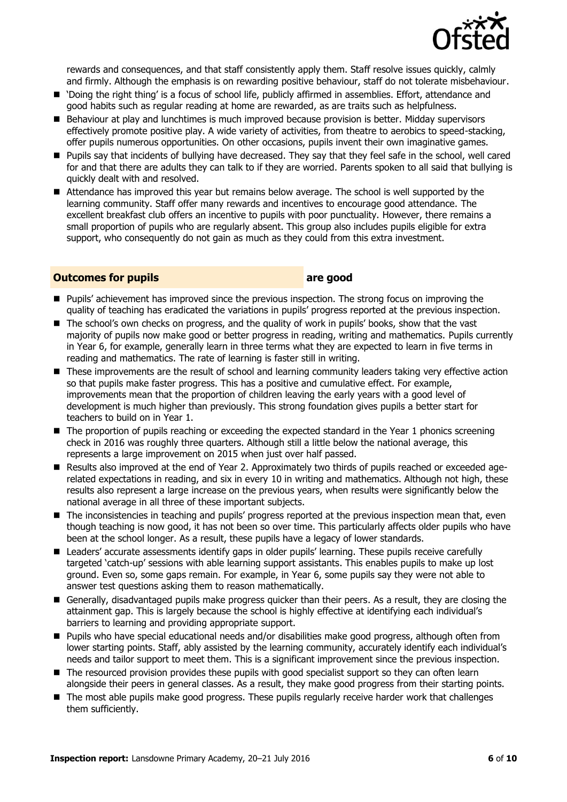

rewards and consequences, and that staff consistently apply them. Staff resolve issues quickly, calmly and firmly. Although the emphasis is on rewarding positive behaviour, staff do not tolerate misbehaviour.

- 'Doing the right thing' is a focus of school life, publicly affirmed in assemblies. Effort, attendance and good habits such as regular reading at home are rewarded, as are traits such as helpfulness.
- Behaviour at play and lunchtimes is much improved because provision is better. Midday supervisors effectively promote positive play. A wide variety of activities, from theatre to aerobics to speed-stacking, offer pupils numerous opportunities. On other occasions, pupils invent their own imaginative games.
- Pupils say that incidents of bullying have decreased. They say that they feel safe in the school, well cared for and that there are adults they can talk to if they are worried. Parents spoken to all said that bullying is quickly dealt with and resolved.
- Attendance has improved this year but remains below average. The school is well supported by the learning community. Staff offer many rewards and incentives to encourage good attendance. The excellent breakfast club offers an incentive to pupils with poor punctuality. However, there remains a small proportion of pupils who are regularly absent. This group also includes pupils eligible for extra support, who consequently do not gain as much as they could from this extra investment.

#### **Outcomes for pupils are good**

- **Pupils'** achievement has improved since the previous inspection. The strong focus on improving the quality of teaching has eradicated the variations in pupils' progress reported at the previous inspection.
- The school's own checks on progress, and the quality of work in pupils' books, show that the vast majority of pupils now make good or better progress in reading, writing and mathematics. Pupils currently in Year 6, for example, generally learn in three terms what they are expected to learn in five terms in reading and mathematics. The rate of learning is faster still in writing.
- **These improvements are the result of school and learning community leaders taking very effective action** so that pupils make faster progress. This has a positive and cumulative effect. For example, improvements mean that the proportion of children leaving the early years with a good level of development is much higher than previously. This strong foundation gives pupils a better start for teachers to build on in Year 1.
- The proportion of pupils reaching or exceeding the expected standard in the Year 1 phonics screening check in 2016 was roughly three quarters. Although still a little below the national average, this represents a large improvement on 2015 when just over half passed.
- Results also improved at the end of Year 2. Approximately two thirds of pupils reached or exceeded agerelated expectations in reading, and six in every 10 in writing and mathematics. Although not high, these results also represent a large increase on the previous years, when results were significantly below the national average in all three of these important subjects.
- The inconsistencies in teaching and pupils' progress reported at the previous inspection mean that, even though teaching is now good, it has not been so over time. This particularly affects older pupils who have been at the school longer. As a result, these pupils have a legacy of lower standards.
- **E** Leaders' accurate assessments identify gaps in older pupils' learning. These pupils receive carefully targeted 'catch-up' sessions with able learning support assistants. This enables pupils to make up lost ground. Even so, some gaps remain. For example, in Year 6, some pupils say they were not able to answer test questions asking them to reason mathematically.
- Generally, disadvantaged pupils make progress quicker than their peers. As a result, they are closing the attainment gap. This is largely because the school is highly effective at identifying each individual's barriers to learning and providing appropriate support.
- Pupils who have special educational needs and/or disabilities make good progress, although often from lower starting points. Staff, ably assisted by the learning community, accurately identify each individual's needs and tailor support to meet them. This is a significant improvement since the previous inspection.
- The resourced provision provides these pupils with good specialist support so they can often learn alongside their peers in general classes. As a result, they make good progress from their starting points.
- The most able pupils make good progress. These pupils regularly receive harder work that challenges them sufficiently.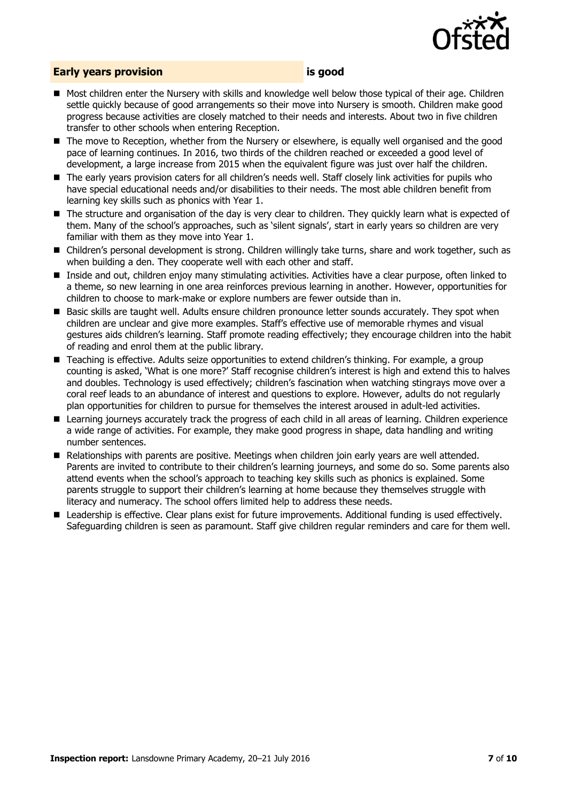

#### **Early years provision is good**

- Most children enter the Nursery with skills and knowledge well below those typical of their age. Children settle quickly because of good arrangements so their move into Nursery is smooth. Children make good progress because activities are closely matched to their needs and interests. About two in five children transfer to other schools when entering Reception.
- The move to Reception, whether from the Nursery or elsewhere, is equally well organised and the good pace of learning continues. In 2016, two thirds of the children reached or exceeded a good level of development, a large increase from 2015 when the equivalent figure was just over half the children.
- The early years provision caters for all children's needs well. Staff closely link activities for pupils who have special educational needs and/or disabilities to their needs. The most able children benefit from learning key skills such as phonics with Year 1.
- The structure and organisation of the day is very clear to children. They quickly learn what is expected of them. Many of the school's approaches, such as 'silent signals', start in early years so children are very familiar with them as they move into Year 1.
- Children's personal development is strong. Children willingly take turns, share and work together, such as when building a den. They cooperate well with each other and staff.
- Inside and out, children enjoy many stimulating activities. Activities have a clear purpose, often linked to a theme, so new learning in one area reinforces previous learning in another. However, opportunities for children to choose to mark-make or explore numbers are fewer outside than in.
- Basic skills are taught well. Adults ensure children pronounce letter sounds accurately. They spot when children are unclear and give more examples. Staff's effective use of memorable rhymes and visual gestures aids children's learning. Staff promote reading effectively; they encourage children into the habit of reading and enrol them at the public library.
- Teaching is effective. Adults seize opportunities to extend children's thinking. For example, a group counting is asked, 'What is one more?' Staff recognise children's interest is high and extend this to halves and doubles. Technology is used effectively; children's fascination when watching stingrays move over a coral reef leads to an abundance of interest and questions to explore. However, adults do not regularly plan opportunities for children to pursue for themselves the interest aroused in adult-led activities.
- Learning journeys accurately track the progress of each child in all areas of learning. Children experience a wide range of activities. For example, they make good progress in shape, data handling and writing number sentences.
- Relationships with parents are positive. Meetings when children join early years are well attended. Parents are invited to contribute to their children's learning journeys, and some do so. Some parents also attend events when the school's approach to teaching key skills such as phonics is explained. Some parents struggle to support their children's learning at home because they themselves struggle with literacy and numeracy. The school offers limited help to address these needs.
- Leadership is effective. Clear plans exist for future improvements. Additional funding is used effectively. Safeguarding children is seen as paramount. Staff give children regular reminders and care for them well.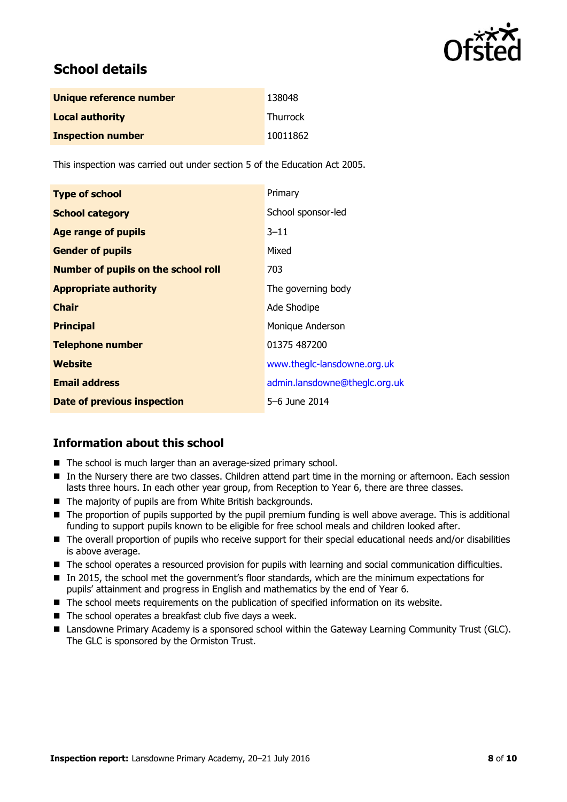

## **School details**

| Unique reference number  | 138048          |
|--------------------------|-----------------|
| <b>Local authority</b>   | <b>Thurrock</b> |
| <b>Inspection number</b> | 10011862        |

This inspection was carried out under section 5 of the Education Act 2005.

| <b>Type of school</b>                      | Primary                       |
|--------------------------------------------|-------------------------------|
| <b>School category</b>                     | School sponsor-led            |
| <b>Age range of pupils</b>                 | $3 - 11$                      |
| <b>Gender of pupils</b>                    | Mixed                         |
| <b>Number of pupils on the school roll</b> | 703                           |
| <b>Appropriate authority</b>               | The governing body            |
| <b>Chair</b>                               | Ade Shodipe                   |
| <b>Principal</b>                           | Monique Anderson              |
| <b>Telephone number</b>                    | 01375 487200                  |
| Website                                    | www.theglc-lansdowne.org.uk   |
| <b>Email address</b>                       | admin.lansdowne@theglc.org.uk |
| Date of previous inspection                | 5-6 June 2014                 |

#### **Information about this school**

- The school is much larger than an average-sized primary school.
- In the Nursery there are two classes. Children attend part time in the morning or afternoon. Each session lasts three hours. In each other year group, from Reception to Year 6, there are three classes.
- The majority of pupils are from White British backgrounds.
- The proportion of pupils supported by the pupil premium funding is well above average. This is additional funding to support pupils known to be eligible for free school meals and children looked after.
- The overall proportion of pupils who receive support for their special educational needs and/or disabilities is above average.
- The school operates a resourced provision for pupils with learning and social communication difficulties.
- In 2015, the school met the government's floor standards, which are the minimum expectations for pupils' attainment and progress in English and mathematics by the end of Year 6.
- $\blacksquare$  The school meets requirements on the publication of specified information on its website.
- $\blacksquare$  The school operates a breakfast club five days a week.
- Lansdowne Primary Academy is a sponsored school within the Gateway Learning Community Trust (GLC). The GLC is sponsored by the Ormiston Trust.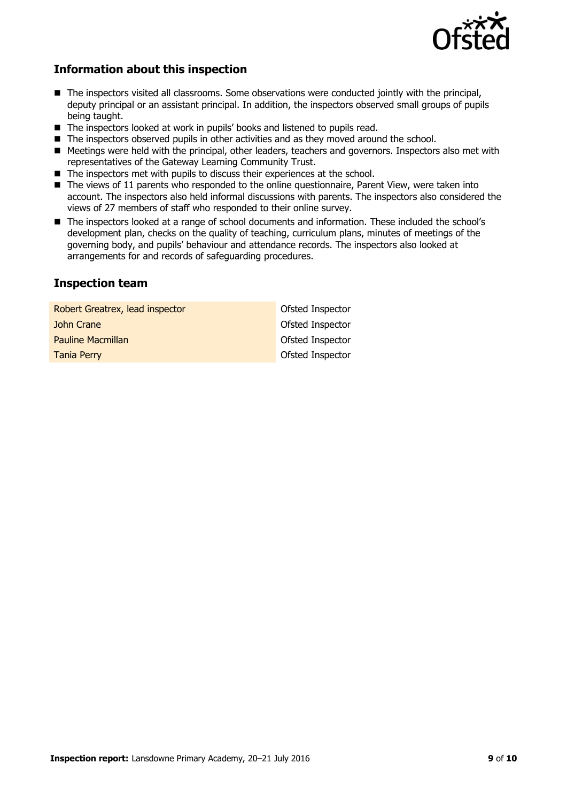

#### **Information about this inspection**

- The inspectors visited all classrooms. Some observations were conducted jointly with the principal, deputy principal or an assistant principal. In addition, the inspectors observed small groups of pupils being taught.
- The inspectors looked at work in pupils' books and listened to pupils read.
- The inspectors observed pupils in other activities and as they moved around the school.
- Meetings were held with the principal, other leaders, teachers and governors. Inspectors also met with representatives of the Gateway Learning Community Trust.
- $\blacksquare$  The inspectors met with pupils to discuss their experiences at the school.
- The views of 11 parents who responded to the online questionnaire, Parent View, were taken into account. The inspectors also held informal discussions with parents. The inspectors also considered the views of 27 members of staff who responded to their online survey.
- The inspectors looked at a range of school documents and information. These included the school's development plan, checks on the quality of teaching, curriculum plans, minutes of meetings of the governing body, and pupils' behaviour and attendance records. The inspectors also looked at arrangements for and records of safeguarding procedures.

#### **Inspection team**

| Robert Greatrex, lead inspector | Ofsted Inspector |
|---------------------------------|------------------|
| John Crane                      | Ofsted Inspector |
| <b>Pauline Macmillan</b>        | Ofsted Inspector |
| <b>Tania Perry</b>              | Ofsted Inspector |